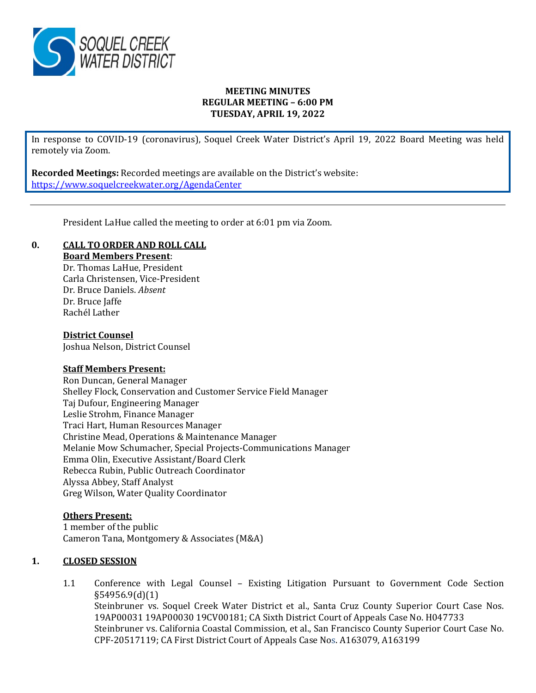

## **MEETING MINUTES REGULAR MEETING – 6:00 PM TUESDAY, APRIL 19, 2022**

In response to COVID-19 (coronavirus), Soquel Creek Water District's April 19, 2022 Board Meeting was held remotely via Zoom.

**Recorded Meetings:** Recorded meetings are available on the District's website: <https://www.soquelcreekwater.org/AgendaCenter>

President LaHue called the meeting to order at 6:01 pm via Zoom.

# **0. CALL TO ORDER AND ROLL CALL**

**Board Members Present**:

Dr. Thomas LaHue, President Carla Christensen, Vice-President Dr. Bruce Daniels. *Absent* Dr. Bruce Jaffe Rachél Lather

## **District Counsel**

Joshua Nelson, District Counsel

## **Staff Members Present:**

Ron Duncan, General Manager Shelley Flock, Conservation and Customer Service Field Manager Taj Dufour, Engineering Manager Leslie Strohm, Finance Manager Traci Hart, Human Resources Manager Christine Mead, Operations & Maintenance Manager Melanie Mow Schumacher, Special Projects-Communications Manager Emma Olin, Executive Assistant/Board Clerk Rebecca Rubin, Public Outreach Coordinator Alyssa Abbey, Staff Analyst Greg Wilson, Water Quality Coordinator

## **Others Present:**

1 member of the public Cameron Tana, Montgomery & Associates (M&A)

## **1. CLOSED SESSION**

1.1 Conference with Legal Counsel – Existing Litigation Pursuant to Government Code Section §54956.9(d)(1) Steinbruner vs. Soquel Creek Water District et al., Santa Cruz County Superior Court Case Nos. 19AP00031 19AP00030 19CV00181; CA Sixth District Court of Appeals Case No. H047733 Steinbruner vs. California Coastal Commission, et al., San Francisco County Superior Court Case No. CPF-20517119; CA First District Court of Appeals Case Nos. A163079, A163199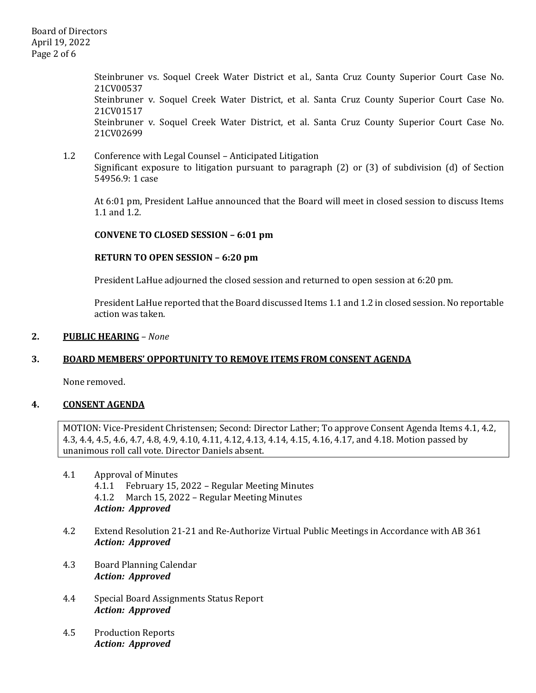Board of Directors April 19, 2022 Page 2 of 6

> Steinbruner vs. Soquel Creek Water District et al., Santa Cruz County Superior Court Case No. 21CV00537 Steinbruner v. Soquel Creek Water District, et al. Santa Cruz County Superior Court Case No. 21CV01517 Steinbruner v. Soquel Creek Water District, et al. Santa Cruz County Superior Court Case No. 21CV02699

1.2 Conference with Legal Counsel – Anticipated Litigation Significant exposure to litigation pursuant to paragraph (2) or (3) of subdivision (d) of Section 54956.9: 1 case

At 6:01 pm, President LaHue announced that the Board will meet in closed session to discuss Items 1.1 and 1.2.

## **CONVENE TO CLOSED SESSION – 6:01 pm**

#### **RETURN TO OPEN SESSION – 6:20 pm**

President LaHue adjourned the closed session and returned to open session at 6:20 pm.

President LaHue reported that the Board discussed Items 1.1 and 1.2 in closed session. No reportable action was taken.

#### **2. PUBLIC HEARING** *– None*

## **3. BOARD MEMBERS' OPPORTUNITY TO REMOVE ITEMS FROM CONSENT AGENDA**

None removed.

## **4. CONSENT AGENDA**

MOTION: Vice-President Christensen; Second: Director Lather; To approve Consent Agenda Items 4.1, 4.2, 4.3, 4.4, 4.5, 4.6, 4.7, 4.8, 4.9, 4.10, 4.11, 4.12, 4.13, 4.14, 4.15, 4.16, 4.17, and 4.18. Motion passed by unanimous roll call vote. Director Daniels absent.

- 4.1 Approval of Minutes<br>4.1.1 February 15. 4.1.1 February 15, 2022 – Regular Meeting Minutes<br>4.1.2 March 15. 2022 – Regular Meeting Minutes 4.1.2 March 15, 2022 – Regular Meeting Minutes *Action: Approved*
- 4.2 Extend Resolution 21-21 and Re-Authorize Virtual Public Meetings in Accordance with AB 361 *Action: Approved*
- 4.3 Board Planning Calendar *Action: Approved*
- 4.4 Special Board Assignments Status Report *Action: Approved*
- 4.5 Production Reports *Action: Approved*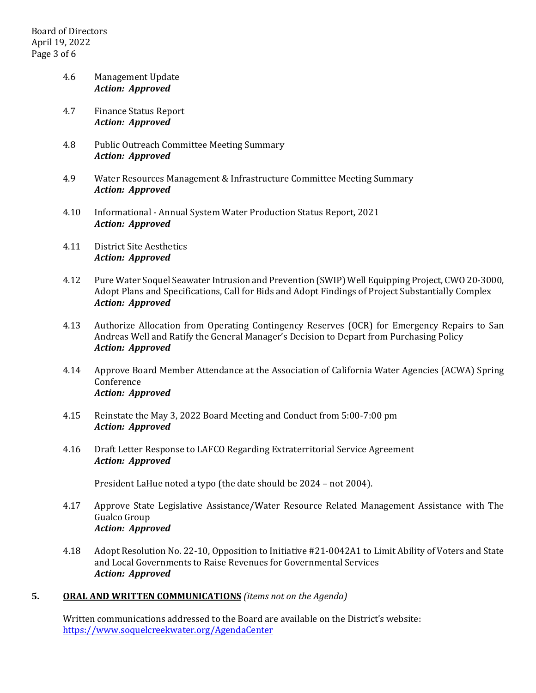# 4.6 Management Update *Action: Approved*

- 4.7 Finance Status Report *Action: Approved*
- 4.8 Public Outreach Committee Meeting Summary *Action: Approved*
- 4.9 Water Resources Management & Infrastructure Committee Meeting Summary *Action: Approved*
- 4.10 Informational Annual System Water Production Status Report, 2021 *Action: Approved*
- 4.11 District Site Aesthetics *Action: Approved*
- 4.12 Pure Water Soquel Seawater Intrusion and Prevention (SWIP) Well Equipping Project, CWO 20-3000, Adopt Plans and Specifications, Call for Bids and Adopt Findings of Project Substantially Complex *Action: Approved*
- 4.13 Authorize Allocation from Operating Contingency Reserves (OCR) for Emergency Repairs to San Andreas Well and Ratify the General Manager's Decision to Depart from Purchasing Policy *Action: Approved*
- 4.14 Approve Board Member Attendance at the Association of California Water Agencies (ACWA) Spring Conference *Action: Approved*
- 4.15 Reinstate the May 3, 2022 Board Meeting and Conduct from 5:00-7:00 pm *Action: Approved*
- 4.16 Draft Letter Response to LAFCO Regarding Extraterritorial Service Agreement *Action: Approved*

President LaHue noted a typo (the date should be 2024 – not 2004).

- 4.17 Approve State Legislative Assistance/Water Resource Related Management Assistance with The Gualco Group *Action: Approved*
- 4.18 Adopt Resolution No. 22-10, Opposition to Initiative #21-0042A1 to Limit Ability of Voters and State and Local Governments to Raise Revenues for Governmental Services *Action: Approved*

# **5. ORAL AND WRITTEN COMMUNICATIONS** *(items not on the Agenda)*

Written communications addressed to the Board are available on the District's website: <https://www.soquelcreekwater.org/AgendaCenter>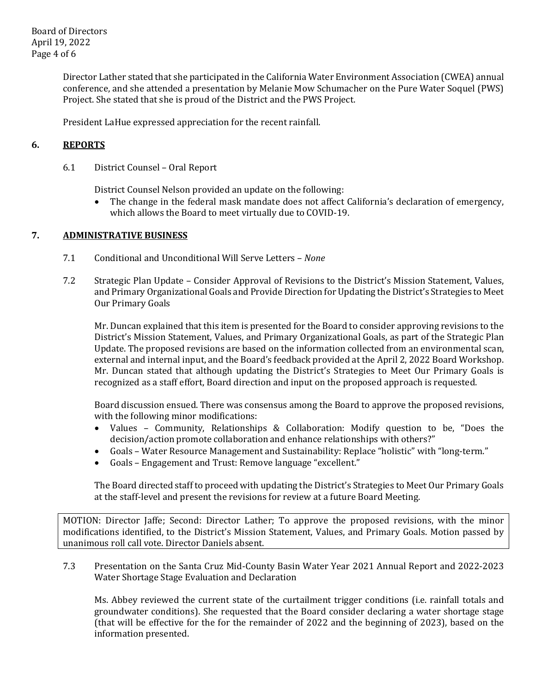Board of Directors April 19, 2022 Page 4 of 6

> Director Lather stated that she participated in the California Water Environment Association (CWEA) annual conference, and she attended a presentation by Melanie Mow Schumacher on the Pure Water Soquel (PWS) Project. She stated that she is proud of the District and the PWS Project.

President LaHue expressed appreciation for the recent rainfall.

# **6. REPORTS**

6.1 District Counsel – Oral Report

District Counsel Nelson provided an update on the following:<br>• The change in the federal mask mandate does not affect

• The change in the federal mask mandate does not affect California's declaration of emergency, which allows the Board to meet virtually due to COVID-19.

## **7. ADMINISTRATIVE BUSINESS**

- 7.1 Conditional and Unconditional Will Serve Letters *None*
- 7.2 Strategic Plan Update Consider Approval of Revisions to the District's Mission Statement, Values, and Primary Organizational Goals and Provide Direction for Updating the District's Strategies to Meet Our Primary Goals

Mr. Duncan explained that this item is presented for the Board to consider approving revisions to the District's Mission Statement, Values, and Primary Organizational Goals, as part of the Strategic Plan Update. The proposed revisions are based on the information collected from an environmental scan, external and internal input, and the Board's feedback provided at the April 2, 2022 Board Workshop. Mr. Duncan stated that although updating the District's Strategies to Meet Our Primary Goals is recognized as a staff effort, Board direction and input on the proposed approach is requested.

Board discussion ensued. There was consensus among the Board to approve the proposed revisions, with the following minor modifications:

- Values Community, Relationships & Collaboration: Modify question to be, "Does the decision/action promote collaboration and enhance relationships with others?"
- Goals Water Resource Management and Sustainability: Replace "holistic" with "long-term."
- Goals Engagement and Trust: Remove language "excellent."

The Board directed staff to proceed with updating the District's Strategies to Meet Our Primary Goals at the staff-level and present the revisions for review at a future Board Meeting.

MOTION: Director Jaffe; Second: Director Lather; To approve the proposed revisions, with the minor modifications identified, to the District's Mission Statement, Values, and Primary Goals. Motion passed by unanimous roll call vote. Director Daniels absent.

7.3 Presentation on the Santa Cruz Mid-County Basin Water Year 2021 Annual Report and 2022-2023 Water Shortage Stage Evaluation and Declaration

Ms. Abbey reviewed the current state of the curtailment trigger conditions (i.e. rainfall totals and groundwater conditions). She requested that the Board consider declaring a water shortage stage (that will be effective for the for the remainder of 2022 and the beginning of 2023), based on the information presented.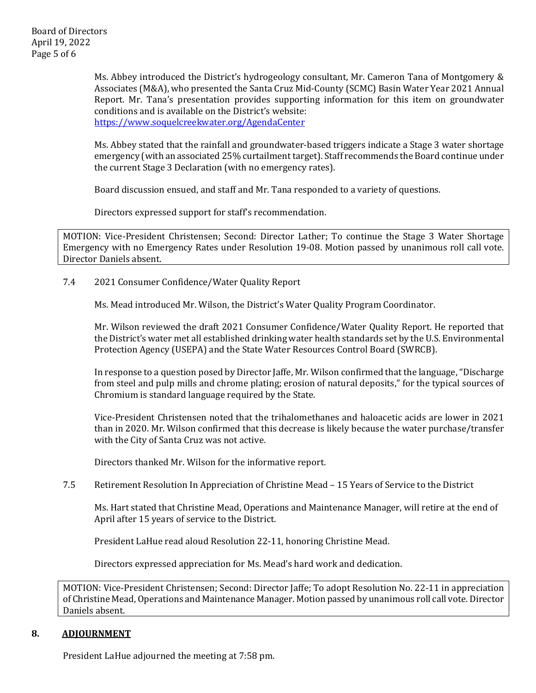Ms. Abbey introduced the District's hydrogeology consultant, Mr. Cameron Tana of Montgomery & Associates (M&A), who presented the Santa Cruz Mid-County (SCMC) Basin Water Year 2021 Annual Report. Mr. Tana's presentation provides supporting information for this item on groundwater conditions and is available on the District's website: <https://www.soquelcreekwater.org/AgendaCenter>

Ms. Abbey stated that the rainfall and groundwater-based triggers indicate a Stage 3 water shortage emergency (with an associated 25% curtailment target). Staff recommends the Board continue under the current Stage 3 Declaration (with no emergency rates).

Board discussion ensued, and staff and Mr. Tana responded to a variety of questions.

Directors expressed support for staff's recommendation.

MOTION: Vice-President Christensen; Second: Director Lather; To continue the Stage 3 Water Shortage Emergency with no Emergency Rates under Resolution 19-08. Motion passed by unanimous roll call vote. Director Daniels absent.

7.4 2021 Consumer Confidence/Water Quality Report

Ms. Mead introduced Mr. Wilson, the District's Water Quality Program Coordinator.

Mr. Wilson reviewed the draft 2021 Consumer Confidence/Water Quality Report. He reported that the District's water met all established drinking water health standards set by the U.S. Environmental Protection Agency (USEPA) and the State Water Resources Control Board (SWRCB).

In response to a question posed by Director Jaffe, Mr. Wilson confirmed that the language, "Discharge from steel and pulp mills and chrome plating; erosion of natural deposits," for the typical sources of Chromium is standard language required by the State.

Vice-President Christensen noted that the trihalomethanes and haloacetic acids are lower in 2021 than in 2020. Mr. Wilson confirmed that this decrease is likely because the water purchase/transfer with the City of Santa Cruz was not active.

Directors thanked Mr. Wilson for the informative report.

7.5 Retirement Resolution In Appreciation of Christine Mead – 15 Years of Service to the District

Ms. Hart stated that Christine Mead, Operations and Maintenance Manager, will retire at the end of April after 15 years of service to the District.

President LaHue read aloud Resolution 22-11, honoring Christine Mead.

Directors expressed appreciation for Ms. Mead's hard work and dedication.

MOTION: Vice-President Christensen; Second: Director Jaffe; To adopt Resolution No. 22-11 in appreciation of Christine Mead, Operations and Maintenance Manager. Motion passed by unanimous roll call vote. Director Daniels absent.

## **8. ADJOURNMENT**

President LaHue adjourned the meeting at 7:58 pm.